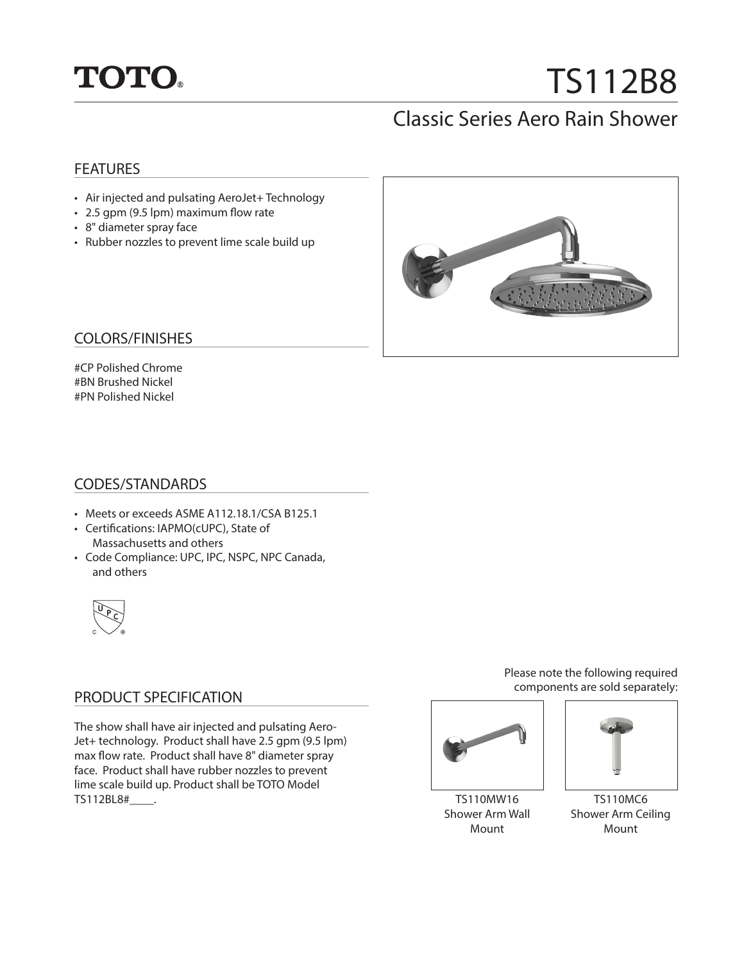

# TS112B8

## Classic Series Aero Rain Shower

#### **FEATURES**

- Air injected and pulsating AeroJet+ Technology
- 2.5 gpm (9.5 lpm) maximum flow rate
- 8" diameter spray face
- Rubber nozzles to prevent lime scale build up



#### COLORS/FINISHES

#CP Polished Chrome #BN Brushed Nickel #PN Polished Nickel

#### CODES/STANDARDS

- Meets or exceeds ASME A112.18.1/CSA B125.1
- Certifications: IAPMO(cUPC), State of Massachusetts and others
- Code Compliance: UPC, IPC, NSPC, NPC Canada, and others



#### PRODUCT SPECIFICATION

The show shall have air injected and pulsating Aero-Jet+ technology. Product shall have 2.5 gpm (9.5 lpm) max flow rate. Product shall have 8" diameter spray face. Product shall have rubber nozzles to prevent lime scale build up. Product shall be TOTO Model TS112BL8#\_\_\_\_.

Please note the following required components are sold separately:



TS110MW16 Shower Arm Wall Mount



TS110MC6 Shower Arm Ceiling Mount